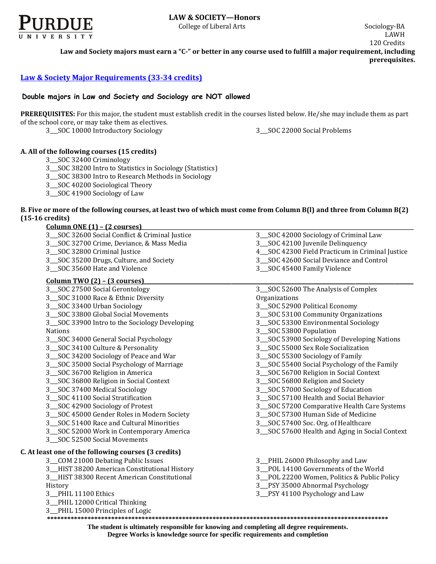

**Law and Society majors must earn a "C-" or better in any course used to fulfill a major requirement, including prerequisites.**

## **[Law & Society Major Requirements \(33-34](http://www.cla.purdue.edu/academics/programs/pos/LawsHonors.pdf) credits)**

# **Double majors in Law and Society and Sociology are NOT allowed**

**PREREQUISITES:** For this major, the student must establish credit in the courses listed below. He/she may include them as part of the school core, or may take them as electives.

- 3\_\_\_SOC 10000 Introductory Sociology 3\_\_\_SOC 22000 Social Problems
	-

### **A. All of the following courses (15 credits)**

- 3\_\_\_SOC 32400 Criminology
- 3\_\_\_SOC 38200 Intro to Statistics in Sociology (Statistics)
- 3\_\_\_SOC 38300 Intro to Research Methods in Sociology
- 3\_\_\_SOC 40200 Sociological Theory
- 3 SOC 41900 Sociology of Law

### **B. Five or more of the following courses, at least two of which must come from Column B(l) and three from Column B(2) (15-16 credits)**

| Column ONE (1) – (2 courses) |  |  |
|------------------------------|--|--|
|                              |  |  |

| 3_SOC 32600 Social Conflict & Criminal Justice       | 3_SOC 42000 Sociology of Criminal Law           |
|------------------------------------------------------|-------------------------------------------------|
| 3_SOC 32700 Crime, Deviance, & Mass Media            | 3_SOC 42100 Juvenile Delinquency                |
| 3_SOC 32800 Criminal Justice                         | 4_SOC 42300 Field Practicum in Criminal Justice |
| 3_SOC 35200 Drugs, Culture, and Society              | 3 SOC 42600 Social Deviance and Control         |
| 3 SOC 35600 Hate and Violence                        | 3_SOC 45400 Family Violence                     |
| Column TWO (2) - (3 courses)                         |                                                 |
| 3_SOC 27500 Social Gerontology                       | 3_SOC 52600 The Analysis of Complex             |
| 3_SOC 31000 Race & Ethnic Diversity                  | Organizations                                   |
| 3_SOC 33400 Urban Sociology                          | 3_SOC 52900 Political Economy                   |
| 3_SOC 33800 Global Social Movements                  | 3_SOC 53100 Community Organizations             |
| 3_SOC 33900 Intro to the Sociology Developing        | 3_SOC 53300 Environmental Sociology             |
| <b>Nations</b>                                       | 3_SOC 53800 Population                          |
| 3_SOC 34000 General Social Psychology                | 3_SOC 53900 Sociology of Developing Nations     |
| 3_SOC 34100 Culture & Personality                    | 3 SOC 55000 Sex Role Socialization              |
| 3_SOC 34200 Sociology of Peace and War               | 3_SOC 55300 Sociology of Family                 |
| 3_SOC 35000 Social Psychology of Marriage            | 3_SOC 55400 Social Psychology of the Family     |
| 3_SOC 36700 Religion in America                      | 3_SOC 56700 Religion in Social Context          |
| 3_SOC 36800 Religion in Social Context               | 3_SOC 56800 Religion and Society                |
| 3_SOC 37400 Medical Sociology                        | 3_SOC 57000 Sociology of Education              |
| 3_SOC 41100 Social Stratification                    | 3_SOC 57100 Health and Social Behavior          |
| 3_SOC 42900 Sociology of Protest                     | 3_SOC 57200 Comparative Health Care Systems     |
| 3_SOC 45000 Gender Roles in Modern Society           | 3 SOC 57300 Human Side of Medicine              |
| 3 SOC 51400 Race and Cultural Minorities             | 3_SOC 57400 Soc. Org. of Healthcare             |
| 3_SOC 52000 Work in Contemporary America             | 3_SOC 57600 Health and Aging in Social Context  |
| 3 SOC 52500 Social Movements                         |                                                 |
| C. At least one of the following courses (3 credits) |                                                 |
| 3_COM 21000 Debating Public Issues                   | 3_PHIL 26000 Philosophy and Law                 |
| 3_HIST 38200 American Constitutional History         | 3 POL 14100 Governments of the World            |
| 3 HIST 38300 Recent American Constitutional          | 3_POL 22200 Women, Politics & Public Policy     |
| History                                              | 3_PSY 35000 Abnormal Psychology                 |
| 3_PHIL 11100 Ethics                                  | 3_PSY 41100 Psychology and Law                  |
| 3_PHIL 12000 Critical Thinking                       |                                                 |
| 3_PHIL 15000 Principles of Logic                     |                                                 |
|                                                      |                                                 |

**The student is ultimately responsible for knowing and completing all degree requirements. Degree Works is knowledge source for specific requirements and completion**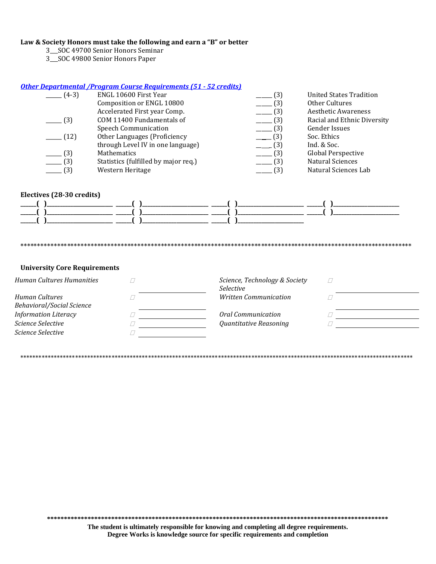#### **Law & Society Honors must take the following and earn a "B" or better**

3\_\_\_SOC 49700 Senior Honors Seminar

3\_\_\_SOC 49800 Senior Honors Paper

### *[Other Departmental /Program Course Requirements \(51](http://www.cla.purdue.edu/academics/programs/pos/core201210v3.pdf) - 52 credits)*

| $(4-3)$ | ENGL 10600 First Year                | (3)                  | <b>United States Tradition</b> |
|---------|--------------------------------------|----------------------|--------------------------------|
|         | Composition or ENGL 10800            | $\frac{1}{2}$ (3)    | Other Cultures                 |
|         | Accelerated First year Comp.         | $\frac{1}{2}$ (3)    | <b>Aesthetic Awareness</b>     |
| (3)     | COM 11400 Fundamentals of            | $-$ (3)              | Racial and Ethnic Diversity    |
|         | <b>Speech Communication</b>          | $\frac{1}{\sqrt{3}}$ | <b>Gender Issues</b>           |
| (12)    | Other Languages (Proficiency         | $-$ (3)              | Soc. Ethics                    |
|         | through Level IV in one language)    | $\frac{1}{2}$ (3)    | Ind. & Soc.                    |
| (3)     | Mathematics                          | $\frac{1}{2}$ (3)    | Global Perspective             |
| $-$ (3) | Statistics (fulfilled by major req.) | $\frac{1}{2}$ (3)    | Natural Sciences               |
| (3)     | Western Heritage                     | $\frac{1}{2}$ (3)    | Natural Sciences Lab           |
|         |                                      |                      |                                |

### **Electives (28-30 credits)**



### \*\*\*\*\*\*\*\*\*\*\*\*\*\*\*\*\*\*\*\*\*\*\*\*\*\*\*\*\*\*\*\*\*\*\*\*\*\*\*\*\*\*\*\*\*\*\*\*\*\*\*\*\*\*\*\*\*\*\*\*\*\*\*\*\*\*\*\*\*\*\*\*\*\*\*\*\*\*\*\*\*\*\*\*\*\*\*\*\*\*\*\*\*\*\*\*\*\*\*\*\*\*\*\*\*\*\*\*\*\*\*\*\*\*\*\*\*

### **University Core Requirements**

| Human Cultures Humanities   | Science, Technology & Society<br><i>Selective</i> |  |
|-----------------------------|---------------------------------------------------|--|
| Human Cultures              | <b>Written Communication</b>                      |  |
| Behavioral/Social Science   |                                                   |  |
| <b>Information Literacy</b> | Oral Communication                                |  |
| Science Selective           | Quantitative Reasoning                            |  |
| Science Selective           |                                                   |  |

\*\*\*\*\*\*\*\*\*\*\*\*\*\*\*\*\*\*\*\*\*\*\*\*\*\*\*\*\*\*\*\*\*\*\*\*\*\*\*\*\*\*\*\*\*\*\*\*\*\*\*\*\*\*\*\*\*\*\*\*\*\*\*\*\*\*\*\*\*\*\*\*\*\*\*\*\*\*\*\*\*\*\*\*\*\*\*\*\*\*\*\*\*\*\*\*\*\*\*\*\*\*\*\*\*\*\*\*\*\*\*\*\*\*\*\*\*\*\*\*\*\*\*\*\*\*\*\*\*

**\*\*\*\*\*\*\*\*\*\*\*\*\*\*\*\*\*\*\*\*\*\*\*\*\*\*\*\*\*\*\*\*\*\*\*\*\*\*\*\*\*\*\*\*\*\*\*\*\*\*\*\*\*\*\*\*\*\*\*\*\*\*\*\*\*\*\*\*\*\*\*\*\*\*\*\*\*\*\*\*\*\*\*\*\*\*\*\*\*\*\*\*\*\*\*\*\*\*\*\*\***